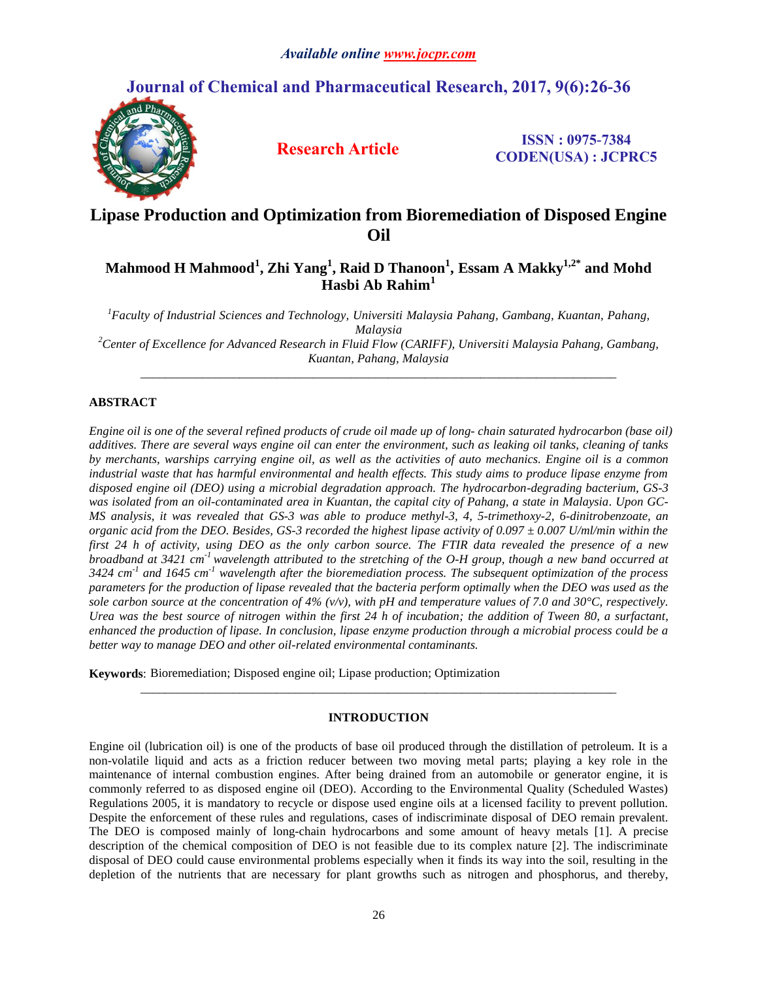# **Journal of Chemical and Pharmaceutical Research, 2017, 9(6):26-36**



**Research Article ISSN : 0975-7384 CODEN(USA) : JCPRC5**

# **Lipase Production and Optimization from Bioremediation of Disposed Engine Oil**

# **Mahmood H Mahmood<sup>1</sup> , Zhi Yang<sup>1</sup> , Raid D Thanoon<sup>1</sup> , Essam A Makky 1,2\* and Mohd Hasbi Ab Rahim<sup>1</sup>**

*<sup>1</sup>Faculty of Industrial Sciences and Technology, Universiti Malaysia Pahang, Gambang, Kuantan, Pahang, Malaysia <sup>2</sup>Center of Excellence for Advanced Research in Fluid Flow (CARIFF), Universiti Malaysia Pahang, Gambang, Kuantan, Pahang, Malaysia*

*\_\_\_\_\_\_\_\_\_\_\_\_\_\_\_\_\_\_\_\_\_\_\_\_\_\_\_\_\_\_\_\_\_\_\_\_\_\_\_\_\_\_\_\_\_\_\_\_\_\_\_\_\_\_\_\_\_\_\_\_\_\_\_\_\_\_\_\_\_\_\_\_\_\_\_\_\_*

# **ABSTRACT**

*Engine oil is one of the several refined products of crude oil made up of long- chain saturated hydrocarbon (base oil) additives. There are several ways engine oil can enter the environment, such as leaking oil tanks, cleaning of tanks by merchants, warships carrying engine oil, as well as the activities of auto mechanics. Engine oil is a common industrial waste that has harmful environmental and health effects. This study aims to produce lipase enzyme from disposed engine oil (DEO) using a microbial degradation approach. The hydrocarbon-degrading bacterium, GS-3 was isolated from an oil-contaminated area in Kuantan, the capital city of Pahang, a state in Malaysia. Upon GC-MS analysis, it was revealed that GS-3 was able to produce methyl-3, 4, 5-trimethoxy-2, 6-dinitrobenzoate, an organic acid from the DEO. Besides, GS-3 recorded the highest lipase activity of 0.097 ± 0.007 U/ml/min within the first 24 h of activity, using DEO as the only carbon source. The FTIR data revealed the presence of a new broadband at 3421 cm-1 wavelength attributed to the stretching of the O-H group, though a new band occurred at 3424 cm-1 and 1645 cm-1 wavelength after the bioremediation process. The subsequent optimization of the process parameters for the production of lipase revealed that the bacteria perform optimally when the DEO was used as the sole carbon source at the concentration of 4% (v/v), with pH and temperature values of 7.0 and 30°C, respectively. Urea was the best source of nitrogen within the first 24 h of incubation; the addition of Tween 80, a surfactant, enhanced the production of lipase. In conclusion, lipase enzyme production through a microbial process could be a better way to manage DEO and other oil-related environmental contaminants.*

**Keywords**: Bioremediation; Disposed engine oil; Lipase production; Optimization

# **INTRODUCTION**

*\_\_\_\_\_\_\_\_\_\_\_\_\_\_\_\_\_\_\_\_\_\_\_\_\_\_\_\_\_\_\_\_\_\_\_\_\_\_\_\_\_\_\_\_\_\_\_\_\_\_\_\_\_\_\_\_\_\_\_\_\_\_\_\_\_\_\_\_\_\_\_\_\_\_\_\_\_*

Engine oil (lubrication oil) is one of the products of base oil produced through the distillation of petroleum. It is a non-volatile liquid and acts as a friction reducer between two moving metal parts; playing a key role in the maintenance of internal combustion engines. After being drained from an automobile or generator engine, it is commonly referred to as disposed engine oil (DEO). According to the Environmental Quality (Scheduled Wastes) Regulations 2005, it is mandatory to recycle or dispose used engine oils at a licensed facility to prevent pollution. Despite the enforcement of these rules and regulations, cases of indiscriminate disposal of DEO remain prevalent. The DEO is composed mainly of long-chain hydrocarbons and some amount of heavy metals [1]. A precise description of the chemical composition of DEO is not feasible due to its complex nature [2]. The indiscriminate disposal of DEO could cause environmental problems especially when it finds its way into the soil, resulting in the depletion of the nutrients that are necessary for plant growths such as nitrogen and phosphorus, and thereby,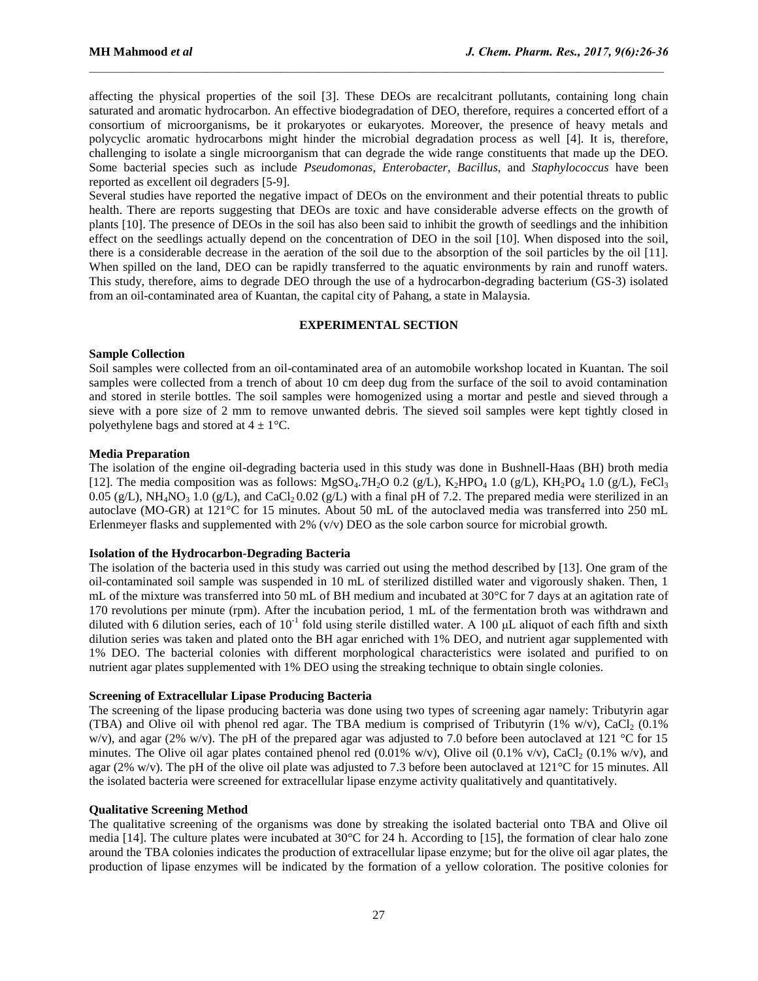affecting the physical properties of the soil [3]. These DEOs are recalcitrant pollutants, containing long chain saturated and aromatic hydrocarbon. An effective biodegradation of DEO, therefore, requires a concerted effort of a consortium of microorganisms, be it prokaryotes or eukaryotes. Moreover, the presence of heavy metals and polycyclic aromatic hydrocarbons might hinder the microbial degradation process as well [4]. It is, therefore, challenging to isolate a single microorganism that can degrade the wide range constituents that made up the DEO. Some bacterial species such as include *Pseudomonas*, *Enterobacter*, *Bacillus*, and *Staphylococcus* have been reported as excellent oil degraders [5-9].

 $\mathcal{L}_\mathcal{L} = \mathcal{L}_\mathcal{L}$ 

Several studies have reported the negative impact of DEOs on the environment and their potential threats to public health. There are reports suggesting that DEOs are toxic and have considerable adverse effects on the growth of plants [10]. The presence of DEOs in the soil has also been said to inhibit the growth of seedlings and the inhibition effect on the seedlings actually depend on the concentration of DEO in the soil [10]. When disposed into the soil, there is a considerable decrease in the aeration of the soil due to the absorption of the soil particles by the oil [11]. When spilled on the land, DEO can be rapidly transferred to the aquatic environments by rain and runoff waters. This study, therefore, aims to degrade DEO through the use of a hydrocarbon-degrading bacterium (GS-3) isolated from an oil-contaminated area of Kuantan, the capital city of Pahang, a state in Malaysia.

#### **EXPERIMENTAL SECTION**

## **Sample Collection**

Soil samples were collected from an oil-contaminated area of an automobile workshop located in Kuantan. The soil samples were collected from a trench of about 10 cm deep dug from the surface of the soil to avoid contamination and stored in sterile bottles. The soil samples were homogenized using a mortar and pestle and sieved through a sieve with a pore size of 2 mm to remove unwanted debris. The sieved soil samples were kept tightly closed in polyethylene bags and stored at  $4 \pm 1$ °C.

#### **Media Preparation**

The isolation of the engine oil-degrading bacteria used in this study was done in Bushnell-Haas (BH) broth media [12]. The media composition was as follows: MgSO<sub>4</sub>.7H<sub>2</sub>O 0.2 (g/L), K<sub>2</sub>HPO<sub>4</sub> 1.0 (g/L), KH<sub>2</sub>PO<sub>4</sub> 1.0 (g/L), FeCl<sub>3</sub> 0.05 (g/L), NH<sub>4</sub>NO<sub>3</sub> 1.0 (g/L), and CaCl<sub>2</sub> 0.02 (g/L) with a final pH of 7.2. The prepared media were sterilized in an autoclave (MO-GR) at 121°C for 15 minutes. About 50 mL of the autoclaved media was transferred into 250 mL Erlenmeyer flasks and supplemented with 2% (v/v) DEO as the sole carbon source for microbial growth.

## **Isolation of the Hydrocarbon-Degrading Bacteria**

The isolation of the bacteria used in this study was carried out using the method described by [13]. One gram of the oil-contaminated soil sample was suspended in 10 mL of sterilized distilled water and vigorously shaken. Then, 1 mL of the mixture was transferred into 50 mL of BH medium and incubated at 30°C for 7 days at an agitation rate of 170 revolutions per minute (rpm). After the incubation period, 1 mL of the fermentation broth was withdrawn and diluted with 6 dilution series, each of  $10^{-1}$  fold using sterile distilled water. A 100 µL aliquot of each fifth and sixth dilution series was taken and plated onto the BH agar enriched with 1% DEO, and nutrient agar supplemented with 1% DEO. The bacterial colonies with different morphological characteristics were isolated and purified to on nutrient agar plates supplemented with 1% DEO using the streaking technique to obtain single colonies.

## **Screening of Extracellular Lipase Producing Bacteria**

The screening of the lipase producing bacteria was done using two types of screening agar namely: Tributyrin agar (TBA) and Olive oil with phenol red agar. The TBA medium is comprised of Tributyrin (1% w/v), CaCl<sub>2</sub> (0.1%) w/v), and agar (2% w/v). The pH of the prepared agar was adjusted to 7.0 before been autoclaved at 121 °C for 15 minutes. The Olive oil agar plates contained phenol red  $(0.01\%$  w/v), Olive oil  $(0.1\%$  v/v), CaCl<sub>2</sub>  $(0.1\%$  w/v), and agar (2% w/v). The pH of the olive oil plate was adjusted to 7.3 before been autoclaved at 121°C for 15 minutes. All the isolated bacteria were screened for extracellular lipase enzyme activity qualitatively and quantitatively.

## **Qualitative Screening Method**

The qualitative screening of the organisms was done by streaking the isolated bacterial onto TBA and Olive oil media [14]. The culture plates were incubated at 30°C for 24 h. According to [15], the formation of clear halo zone around the TBA colonies indicates the production of extracellular lipase enzyme; but for the olive oil agar plates, the production of lipase enzymes will be indicated by the formation of a yellow coloration. The positive colonies for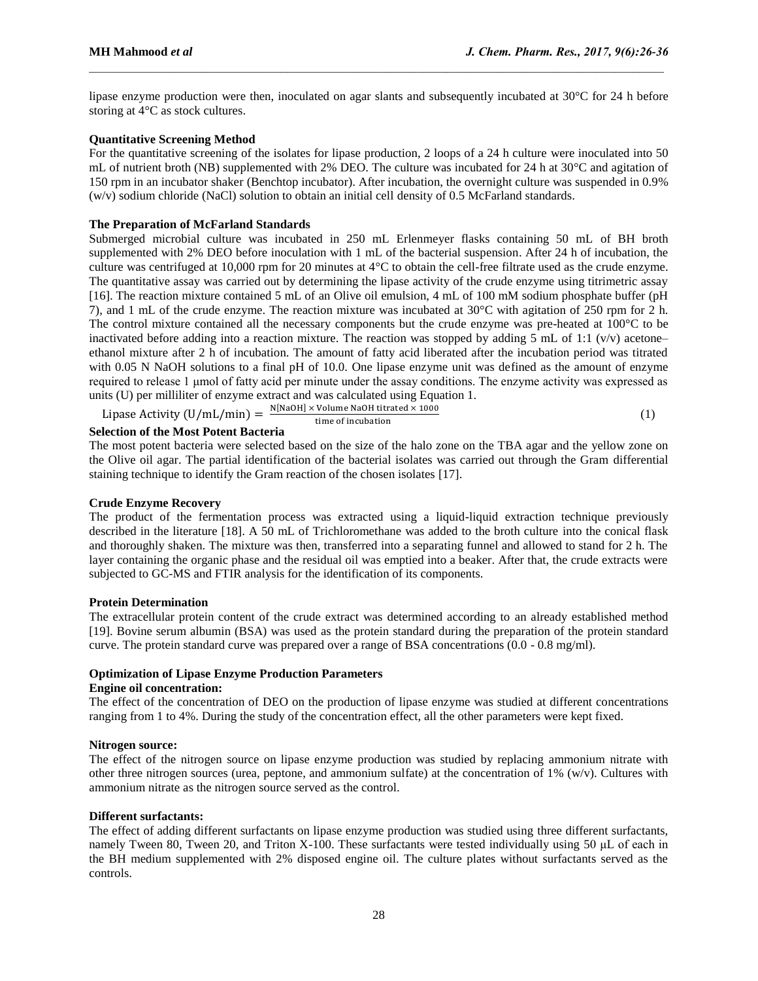lipase enzyme production were then, inoculated on agar slants and subsequently incubated at 30°C for 24 h before storing at 4°C as stock cultures.

 $\mathcal{L}_\mathcal{L} = \mathcal{L}_\mathcal{L}$ 

## **Quantitative Screening Method**

For the quantitative screening of the isolates for lipase production, 2 loops of a 24 h culture were inoculated into 50 mL of nutrient broth (NB) supplemented with 2% DEO. The culture was incubated for 24 h at 30°C and agitation of 150 rpm in an incubator shaker (Benchtop incubator). After incubation, the overnight culture was suspended in 0.9%  $(w/v)$  sodium chloride (NaCl) solution to obtain an initial cell density of 0.5 McFarland standards.

## **The Preparation of McFarland Standards**

Submerged microbial culture was incubated in 250 mL Erlenmeyer flasks containing 50 mL of BH broth supplemented with 2% DEO before inoculation with 1 mL of the bacterial suspension. After 24 h of incubation, the culture was centrifuged at 10,000 rpm for 20 minutes at 4°C to obtain the cell-free filtrate used as the crude enzyme. The quantitative assay was carried out by determining the lipase activity of the crude enzyme using titrimetric assay [16]. The reaction mixture contained 5 mL of an Olive oil emulsion, 4 mL of 100 mM sodium phosphate buffer (pH 7), and 1 mL of the crude enzyme. The reaction mixture was incubated at 30°C with agitation of 250 rpm for 2 h. The control mixture contained all the necessary components but the crude enzyme was pre-heated at 100°C to be inactivated before adding into a reaction mixture. The reaction was stopped by adding 5 mL of 1:1 ( $v/v$ ) acetone– ethanol mixture after 2 h of incubation. The amount of fatty acid liberated after the incubation period was titrated with 0.05 N NaOH solutions to a final pH of 10.0. One lipase enzyme unit was defined as the amount of enzyme required to release 1 μmol of fatty acid per minute under the assay conditions. The enzyme activity was expressed as units (U) per milliliter of enzyme extract and was calculated using Equation 1.

Lipase Activity (U/mL/min) = 
$$
\frac{N[NaOH] \times Volume NaOH \text{ titrated} \times 1000}{time of incubation}
$$
 (1)

## **Selection of the Most Potent Bacteria**

The most potent bacteria were selected based on the size of the halo zone on the TBA agar and the yellow zone on the Olive oil agar. The partial identification of the bacterial isolates was carried out through the Gram differential staining technique to identify the Gram reaction of the chosen isolates [17].

## **Crude Enzyme Recovery**

The product of the fermentation process was extracted using a liquid-liquid extraction technique previously described in the literature [18]. A 50 mL of Trichloromethane was added to the broth culture into the conical flask and thoroughly shaken. The mixture was then, transferred into a separating funnel and allowed to stand for 2 h. The layer containing the organic phase and the residual oil was emptied into a beaker. After that, the crude extracts were subjected to GC-MS and FTIR analysis for the identification of its components.

## **Protein Determination**

The extracellular protein content of the crude extract was determined according to an already established method [19]. Bovine serum albumin (BSA) was used as the protein standard during the preparation of the protein standard curve. The protein standard curve was prepared over a range of BSA concentrations (0.0 - 0.8 mg/ml).

## **Optimization of Lipase Enzyme Production Parameters Engine oil concentration:**

The effect of the concentration of DEO on the production of lipase enzyme was studied at different concentrations ranging from 1 to 4%. During the study of the concentration effect, all the other parameters were kept fixed.

# **Nitrogen source:**

The effect of the nitrogen source on lipase enzyme production was studied by replacing ammonium nitrate with other three nitrogen sources (urea, peptone, and ammonium sulfate) at the concentration of  $1\%$  (w/v). Cultures with ammonium nitrate as the nitrogen source served as the control.

## **Different surfactants:**

The effect of adding different surfactants on lipase enzyme production was studied using three different surfactants, namely Tween 80, Tween 20, and Triton X-100. These surfactants were tested individually using 50 μL of each in the BH medium supplemented with 2% disposed engine oil. The culture plates without surfactants served as the controls.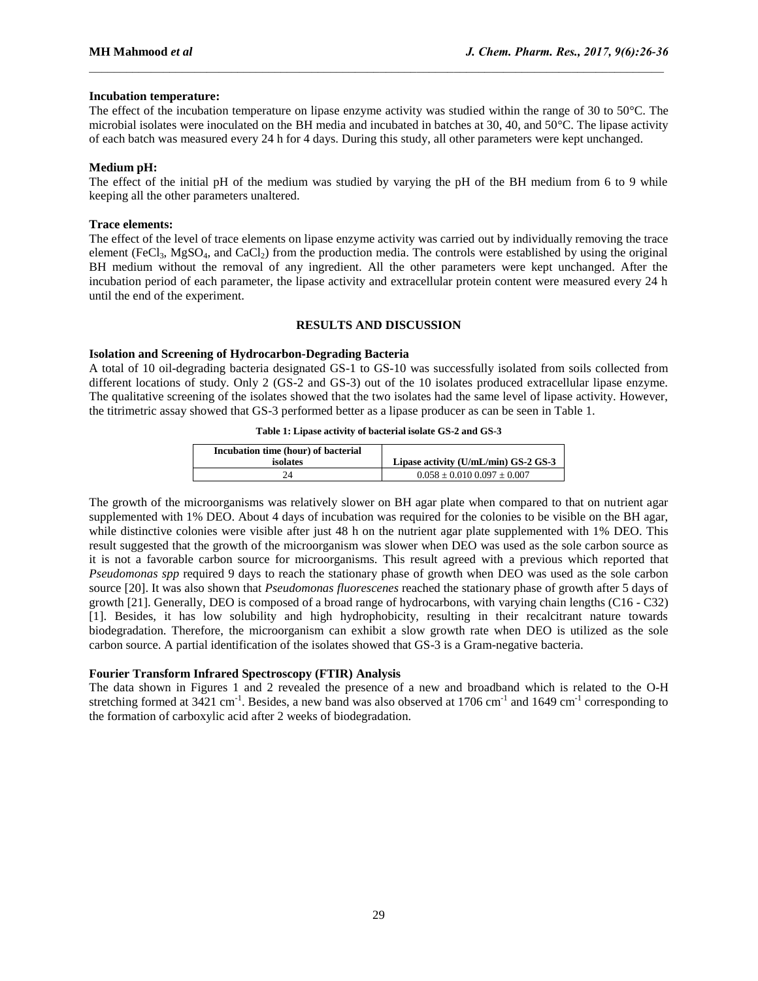## **Incubation temperature:**

The effect of the incubation temperature on lipase enzyme activity was studied within the range of 30 to 50°C. The microbial isolates were inoculated on the BH media and incubated in batches at 30, 40, and 50°C. The lipase activity of each batch was measured every 24 h for 4 days. During this study, all other parameters were kept unchanged.

 $\mathcal{L}_\mathcal{L} = \mathcal{L}_\mathcal{L}$ 

#### **Medium pH:**

The effect of the initial pH of the medium was studied by varying the pH of the BH medium from 6 to 9 while keeping all the other parameters unaltered.

### **Trace elements:**

The effect of the level of trace elements on lipase enzyme activity was carried out by individually removing the trace element (FeCl<sub>3</sub>, MgSO<sub>4</sub>, and CaCl<sub>2</sub>) from the production media. The controls were established by using the original BH medium without the removal of any ingredient. All the other parameters were kept unchanged. After the incubation period of each parameter, the lipase activity and extracellular protein content were measured every 24 h until the end of the experiment.

#### **RESULTS AND DISCUSSION**

## **Isolation and Screening of Hydrocarbon-Degrading Bacteria**

A total of 10 oil-degrading bacteria designated GS-1 to GS-10 was successfully isolated from soils collected from different locations of study. Only 2 (GS-2 and GS-3) out of the 10 isolates produced extracellular lipase enzyme. The qualitative screening of the isolates showed that the two isolates had the same level of lipase activity. However, the titrimetric assay showed that GS-3 performed better as a lipase producer as can be seen in Table 1.

#### **Table 1: Lipase activity of bacterial isolate GS-2 and GS-3**

| Incubation time (hour) of bacterial<br>isolates | Lipase activity (U/mL/min) GS-2 GS-3 |
|-------------------------------------------------|--------------------------------------|
|                                                 | $0.058 \pm 0.010$ $0.097 \pm 0.007$  |

The growth of the microorganisms was relatively slower on BH agar plate when compared to that on nutrient agar supplemented with 1% DEO. About 4 days of incubation was required for the colonies to be visible on the BH agar, while distinctive colonies were visible after just 48 h on the nutrient agar plate supplemented with 1% DEO. This result suggested that the growth of the microorganism was slower when DEO was used as the sole carbon source as it is not a favorable carbon source for microorganisms. This result agreed with a previous which reported that *Pseudomonas spp* required 9 days to reach the stationary phase of growth when DEO was used as the sole carbon source [20]. It was also shown that *Pseudomonas fluorescenes* reached the stationary phase of growth after 5 days of growth [21]. Generally, DEO is composed of a broad range of hydrocarbons, with varying chain lengths (C16 - C32) [1]. Besides, it has low solubility and high hydrophobicity, resulting in their recalcitrant nature towards biodegradation. Therefore, the microorganism can exhibit a slow growth rate when DEO is utilized as the sole carbon source. A partial identification of the isolates showed that GS-3 is a Gram-negative bacteria.

## **Fourier Transform Infrared Spectroscopy (FTIR) Analysis**

The data shown in Figures 1 and 2 revealed the presence of a new and broadband which is related to the O-H stretching formed at  $3421 \text{ cm}^{-1}$ . Besides, a new band was also observed at 1706 cm<sup>-1</sup> and 1649 cm<sup>-1</sup> corresponding to the formation of carboxylic acid after 2 weeks of biodegradation.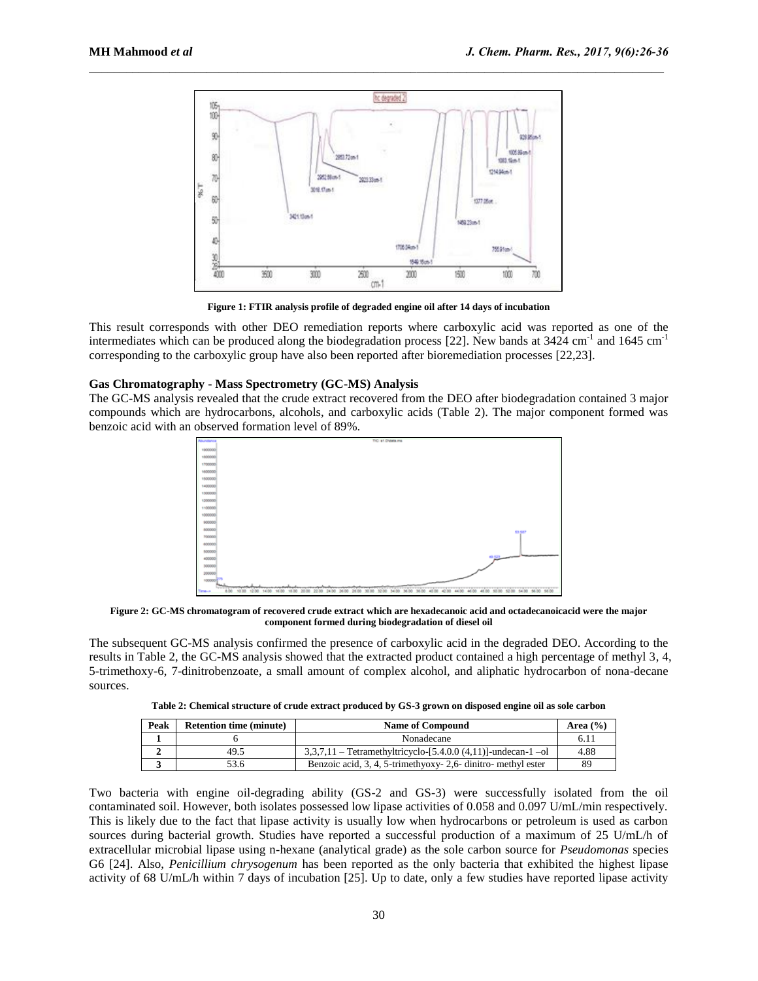

**Figure 1: FTIR analysis profile of degraded engine oil after 14 days of incubation**

This result corresponds with other DEO remediation reports where carboxylic acid was reported as one of the intermediates which can be produced along the biodegradation process [22]. New bands at  $3424 \text{ cm}^{-1}$  and  $1645 \text{ cm}^{-1}$ corresponding to the carboxylic group have also been reported after bioremediation processes [22,23].

## **Gas Chromatography - Mass Spectrometry (GC-MS) Analysis**

The GC-MS analysis revealed that the crude extract recovered from the DEO after biodegradation contained 3 major compounds which are hydrocarbons, alcohols, and carboxylic acids (Table 2). The major component formed was benzoic acid with an observed formation level of 89%.



**Figure 2: GC-MS chromatogram of recovered crude extract which are hexadecanoic acid and octadecanoicacid were the major component formed during biodegradation of diesel oil**

The subsequent GC-MS analysis confirmed the presence of carboxylic acid in the degraded DEO. According to the results in Table 2, the GC-MS analysis showed that the extracted product contained a high percentage of methyl 3, 4, 5-trimethoxy-6, 7-dinitrobenzoate, a small amount of complex alcohol, and aliphatic hydrocarbon of nona-decane sources.

| Table 2: Chemical structure of crude extract produced by GS-3 grown on disposed engine oil as sole carbon |  |  |  |
|-----------------------------------------------------------------------------------------------------------|--|--|--|
|                                                                                                           |  |  |  |

| Peak | <b>Retention time (minute)</b> | <b>Name of Compound</b>                                        | Area $(\frac{6}{6})$ |
|------|--------------------------------|----------------------------------------------------------------|----------------------|
|      |                                | Nonadecane                                                     | 6.11                 |
|      | 49.5                           | $3,3,7,11$ - Tetramethyltricyclo-[5.4.0.0 (4,11)]-undecan-1-ol | 4.88                 |
|      | 53.6                           | Benzoic acid, 3, 4, 5-trimethyoxy- 2,6- dinitro- methyl ester  | 89                   |

Two bacteria with engine oil-degrading ability (GS-2 and GS-3) were successfully isolated from the oil contaminated soil. However, both isolates possessed low lipase activities of 0.058 and 0.097 U/mL/min respectively. This is likely due to the fact that lipase activity is usually low when hydrocarbons or petroleum is used as carbon sources during bacterial growth. Studies have reported a successful production of a maximum of 25 U/mL/h of extracellular microbial lipase using n-hexane (analytical grade) as the sole carbon source for *Pseudomonas* species G6 [24]. Also, *Penicillium chrysogenum* has been reported as the only bacteria that exhibited the highest lipase activity of 68 U/mL/h within 7 days of incubation [25]. Up to date, only a few studies have reported lipase activity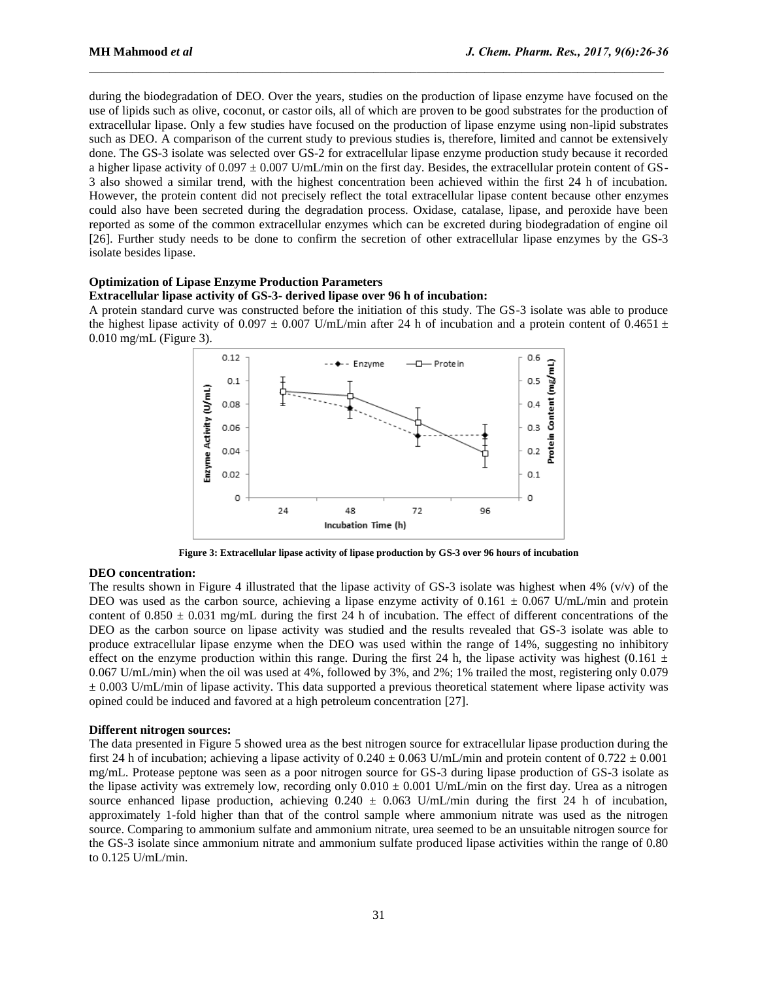during the biodegradation of DEO. Over the years, studies on the production of lipase enzyme have focused on the use of lipids such as olive, coconut, or castor oils, all of which are proven to be good substrates for the production of extracellular lipase. Only a few studies have focused on the production of lipase enzyme using non-lipid substrates such as DEO. A comparison of the current study to previous studies is, therefore, limited and cannot be extensively done. The GS-3 isolate was selected over GS-2 for extracellular lipase enzyme production study because it recorded a higher lipase activity of  $0.097 \pm 0.007$  U/mL/min on the first day. Besides, the extracellular protein content of GS-3 also showed a similar trend, with the highest concentration been achieved within the first 24 h of incubation. However, the protein content did not precisely reflect the total extracellular lipase content because other enzymes could also have been secreted during the degradation process. Oxidase, catalase, lipase, and peroxide have been reported as some of the common extracellular enzymes which can be excreted during biodegradation of engine oil [26]. Further study needs to be done to confirm the secretion of other extracellular lipase enzymes by the GS-3 isolate besides lipase.

 $\mathcal{L}_\mathcal{L} = \mathcal{L}_\mathcal{L}$ 

#### **Optimization of Lipase Enzyme Production Parameters Extracellular lipase activity of GS-3- derived lipase over 96 h of incubation:**

A protein standard curve was constructed before the initiation of this study. The GS-3 isolate was able to produce the highest lipase activity of 0.097  $\pm$  0.007 U/mL/min after 24 h of incubation and a protein content of 0.4651  $\pm$ 0.010 mg/mL (Figure 3).



**Figure 3: Extracellular lipase activity of lipase production by GS-3 over 96 hours of incubation**

## **DEO concentration:**

The results shown in Figure 4 illustrated that the lipase activity of GS-3 isolate was highest when 4% (v/v) of the DEO was used as the carbon source, achieving a lipase enzyme activity of  $0.161 \pm 0.067$  U/mL/min and protein content of  $0.850 \pm 0.031$  mg/mL during the first 24 h of incubation. The effect of different concentrations of the DEO as the carbon source on lipase activity was studied and the results revealed that GS-3 isolate was able to produce extracellular lipase enzyme when the DEO was used within the range of 14%, suggesting no inhibitory effect on the enzyme production within this range. During the first 24 h, the lipase activity was highest (0.161  $\pm$ 0.067 U/mL/min) when the oil was used at 4%, followed by 3%, and 2%; 1% trailed the most, registering only 0.079  $\pm$  0.003 U/mL/min of lipase activity. This data supported a previous theoretical statement where lipase activity was opined could be induced and favored at a high petroleum concentration [27].

## **Different nitrogen sources:**

The data presented in Figure 5 showed urea as the best nitrogen source for extracellular lipase production during the first 24 h of incubation; achieving a lipase activity of  $0.240 \pm 0.063$  U/mL/min and protein content of  $0.722 \pm 0.001$ mg/mL. Protease peptone was seen as a poor nitrogen source for GS-3 during lipase production of GS-3 isolate as the lipase activity was extremely low, recording only  $0.010 \pm 0.001$  U/mL/min on the first day. Urea as a nitrogen source enhanced lipase production, achieving  $0.240 \pm 0.063$  U/mL/min during the first 24 h of incubation, approximately 1-fold higher than that of the control sample where ammonium nitrate was used as the nitrogen source. Comparing to ammonium sulfate and ammonium nitrate, urea seemed to be an unsuitable nitrogen source for the GS-3 isolate since ammonium nitrate and ammonium sulfate produced lipase activities within the range of 0.80 to 0.125 U/mL/min.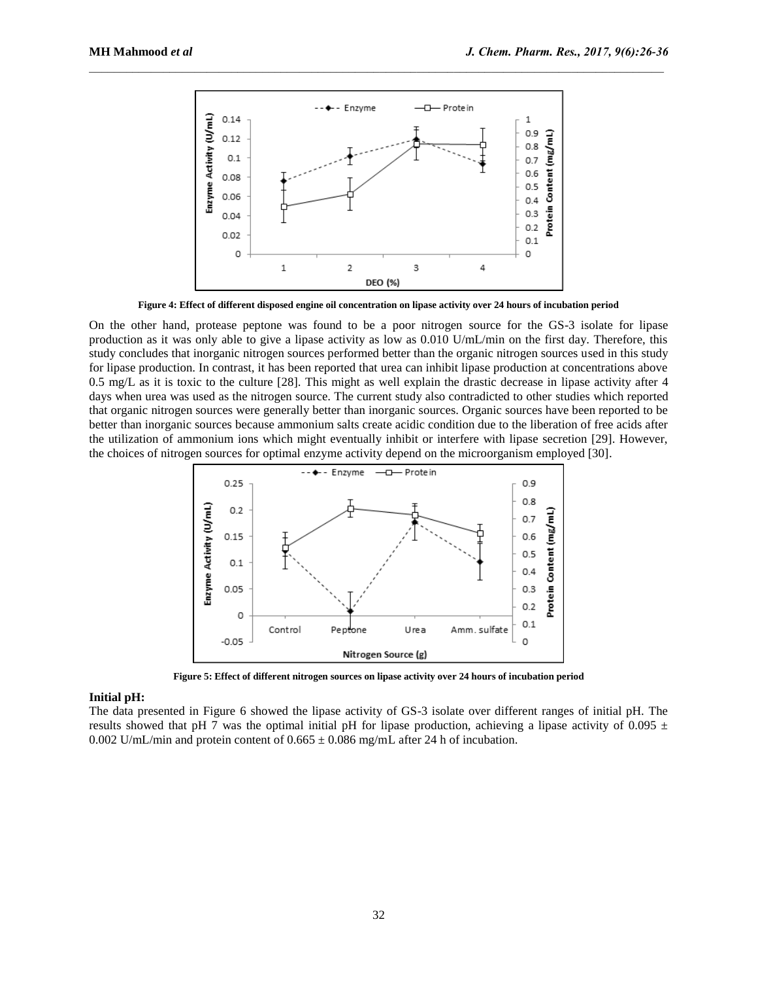

**Figure 4: Effect of different disposed engine oil concentration on lipase activity over 24 hours of incubation period**

On the other hand, protease peptone was found to be a poor nitrogen source for the GS-3 isolate for lipase production as it was only able to give a lipase activity as low as 0.010 U/mL/min on the first day. Therefore, this study concludes that inorganic nitrogen sources performed better than the organic nitrogen sources used in this study for lipase production. In contrast, it has been reported that urea can inhibit lipase production at concentrations above 0.5 mg/L as it is toxic to the culture [28]. This might as well explain the drastic decrease in lipase activity after 4 days when urea was used as the nitrogen source. The current study also contradicted to other studies which reported that organic nitrogen sources were generally better than inorganic sources. Organic sources have been reported to be better than inorganic sources because ammonium salts create acidic condition due to the liberation of free acids after the utilization of ammonium ions which might eventually inhibit or interfere with lipase secretion [29]. However, the choices of nitrogen sources for optimal enzyme activity depend on the microorganism employed [30].



**Figure 5: Effect of different nitrogen sources on lipase activity over 24 hours of incubation period**

## **Initial pH:**

The data presented in Figure 6 showed the lipase activity of GS-3 isolate over different ranges of initial pH. The results showed that pH 7 was the optimal initial pH for lipase production, achieving a lipase activity of 0.095  $\pm$ 0.002 U/mL/min and protein content of  $0.665 \pm 0.086$  mg/mL after 24 h of incubation.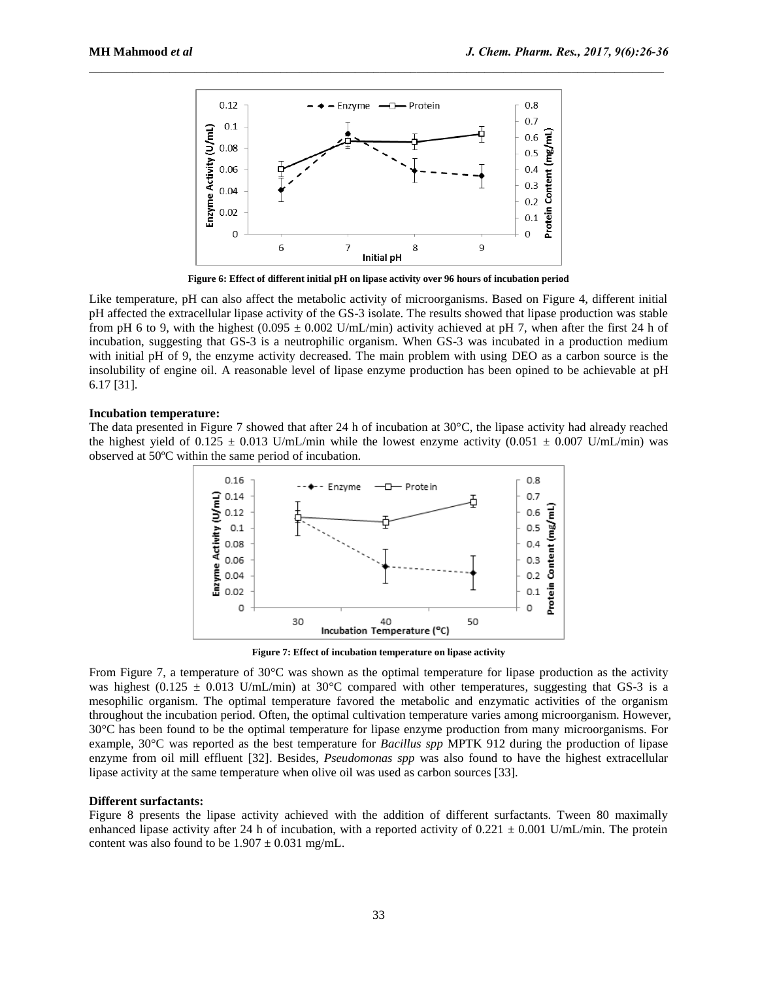

**Figure 6: Effect of different initial pH on lipase activity over 96 hours of incubation period**

Like temperature, pH can also affect the metabolic activity of microorganisms. Based on Figure 4, different initial pH affected the extracellular lipase activity of the GS-3 isolate. The results showed that lipase production was stable from pH 6 to 9, with the highest  $(0.095 \pm 0.002 \text{ U/mL/min})$  activity achieved at pH 7, when after the first 24 h of incubation, suggesting that GS-3 is a neutrophilic organism. When GS-3 was incubated in a production medium with initial pH of 9, the enzyme activity decreased. The main problem with using DEO as a carbon source is the insolubility of engine oil. A reasonable level of lipase enzyme production has been opined to be achievable at pH 6.17 [31].

#### **Incubation temperature:**

The data presented in Figure 7 showed that after 24 h of incubation at 30°C, the lipase activity had already reached the highest yield of  $0.125 \pm 0.013$  U/mL/min while the lowest enzyme activity (0.051  $\pm$  0.007 U/mL/min) was observed at 50ºC within the same period of incubation.



**Figure 7: Effect of incubation temperature on lipase activity**

From Figure 7, a temperature of 30°C was shown as the optimal temperature for lipase production as the activity was highest (0.125  $\pm$  0.013 U/mL/min) at 30°C compared with other temperatures, suggesting that GS-3 is a mesophilic organism. The optimal temperature favored the metabolic and enzymatic activities of the organism throughout the incubation period. Often, the optimal cultivation temperature varies among microorganism. However, 30°C has been found to be the optimal temperature for lipase enzyme production from many microorganisms. For example, 30°C was reported as the best temperature for *Bacillus spp* MPTK 912 during the production of lipase enzyme from oil mill effluent [32]. Besides, *Pseudomonas spp* was also found to have the highest extracellular lipase activity at the same temperature when olive oil was used as carbon sources [33].

#### **Different surfactants:**

Figure 8 presents the lipase activity achieved with the addition of different surfactants. Tween 80 maximally enhanced lipase activity after 24 h of incubation, with a reported activity of  $0.221 \pm 0.001$  U/mL/min. The protein content was also found to be  $1.907 \pm 0.031$  mg/mL.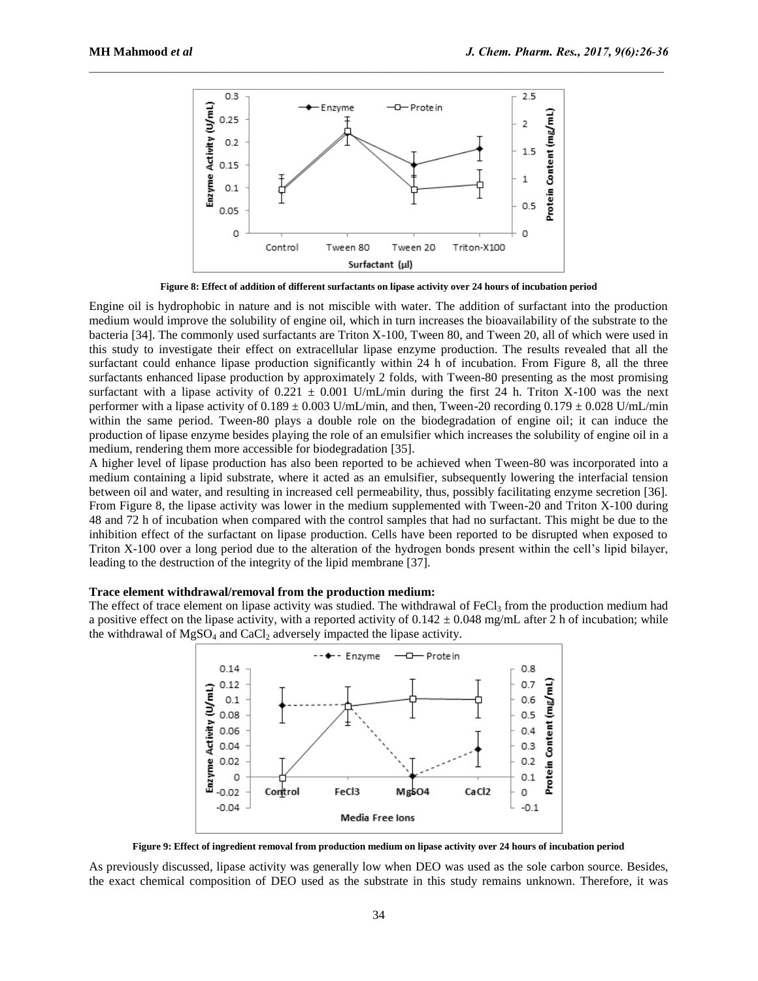

**Figure 8: Effect of addition of different surfactants on lipase activity over 24 hours of incubation period**

Engine oil is hydrophobic in nature and is not miscible with water. The addition of surfactant into the production medium would improve the solubility of engine oil, which in turn increases the bioavailability of the substrate to the bacteria [34]. The commonly used surfactants are Triton X-100, Tween 80, and Tween 20, all of which were used in this study to investigate their effect on extracellular lipase enzyme production. The results revealed that all the surfactant could enhance lipase production significantly within 24 h of incubation. From Figure 8, all the three surfactants enhanced lipase production by approximately 2 folds, with Tween-80 presenting as the most promising surfactant with a lipase activity of  $0.221 \pm 0.001$  U/mL/min during the first 24 h. Triton X-100 was the next performer with a lipase activity of  $0.189 \pm 0.003$  U/mL/min, and then, Tween-20 recording  $0.179 \pm 0.028$  U/mL/min within the same period. Tween-80 plays a double role on the biodegradation of engine oil; it can induce the production of lipase enzyme besides playing the role of an emulsifier which increases the solubility of engine oil in a medium, rendering them more accessible for biodegradation [35].

A higher level of lipase production has also been reported to be achieved when Tween-80 was incorporated into a medium containing a lipid substrate, where it acted as an emulsifier, subsequently lowering the interfacial tension between oil and water, and resulting in increased cell permeability, thus, possibly facilitating enzyme secretion [36]. From Figure 8, the lipase activity was lower in the medium supplemented with Tween-20 and Triton X-100 during 48 and 72 h of incubation when compared with the control samples that had no surfactant. This might be due to the inhibition effect of the surfactant on lipase production. Cells have been reported to be disrupted when exposed to Triton X-100 over a long period due to the alteration of the hydrogen bonds present within the cell's lipid bilayer, leading to the destruction of the integrity of the lipid membrane [37].

#### **Trace element withdrawal/removal from the production medium:**

The effect of trace element on lipase activity was studied. The withdrawal of  $FeCl<sub>3</sub>$  from the production medium had a positive effect on the lipase activity, with a reported activity of  $0.142 \pm 0.048$  mg/mL after 2 h of incubation; while the withdrawal of  $MgSO_4$  and  $CaCl<sub>2</sub>$  adversely impacted the lipase activity.



**Figure 9: Effect of ingredient removal from production medium on lipase activity over 24 hours of incubation period**

As previously discussed, lipase activity was generally low when DEO was used as the sole carbon source. Besides, the exact chemical composition of DEO used as the substrate in this study remains unknown. Therefore, it was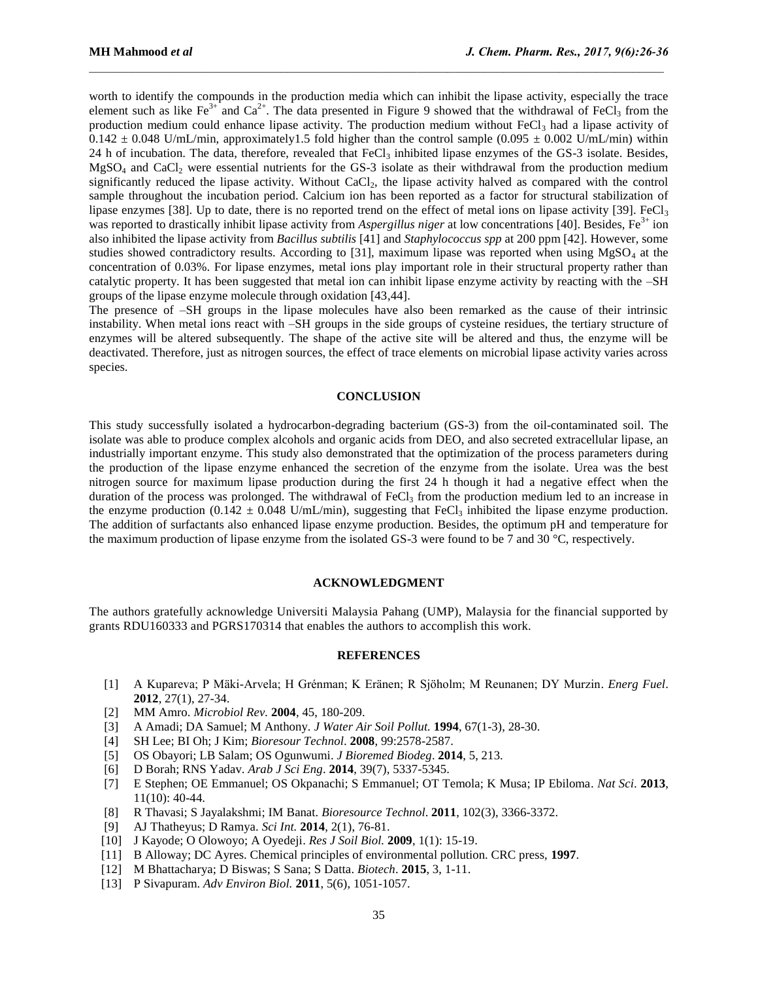worth to identify the compounds in the production media which can inhibit the lipase activity, especially the trace element such as like Fe<sup>3+</sup> and Ca<sup>2+</sup>. The data presented in Figure 9 showed that the withdrawal of FeCl<sub>3</sub> from the production medium could enhance lipase activity. The production medium without  $FeCl<sub>3</sub>$  had a lipase activity of  $0.142 \pm 0.048$  U/mL/min, approximately1.5 fold higher than the control sample (0.095  $\pm$  0.002 U/mL/min) within 24 h of incubation. The data, therefore, revealed that FeCl<sub>3</sub> inhibited lipase enzymes of the GS-3 isolate. Besides,  $MgSO<sub>4</sub>$  and CaCl<sub>2</sub> were essential nutrients for the GS-3 isolate as their withdrawal from the production medium significantly reduced the lipase activity. Without CaCl<sub>2</sub>, the lipase activity halved as compared with the control sample throughout the incubation period. Calcium ion has been reported as a factor for structural stabilization of lipase enzymes [38]. Up to date, there is no reported trend on the effect of metal ions on lipase activity [39]. FeCl<sub>3</sub> was reported to drastically inhibit lipase activity from *Aspergillus niger* at low concentrations [40]. Besides, Fe<sup>3+</sup> ion also inhibited the lipase activity from *Bacillus subtilis* [41] and *Staphylococcus spp* at 200 ppm [42]. However, some studies showed contradictory results. According to [31], maximum lipase was reported when using  $MgSO<sub>4</sub>$  at the concentration of 0.03%. For lipase enzymes, metal ions play important role in their structural property rather than catalytic property. It has been suggested that metal ion can inhibit lipase enzyme activity by reacting with the –SH groups of the lipase enzyme molecule through oxidation [43,44].

 $\mathcal{L}_\mathcal{L} = \mathcal{L}_\mathcal{L}$ 

The presence of –SH groups in the lipase molecules have also been remarked as the cause of their intrinsic instability. When metal ions react with –SH groups in the side groups of cysteine residues, the tertiary structure of enzymes will be altered subsequently. The shape of the active site will be altered and thus, the enzyme will be deactivated. Therefore, just as nitrogen sources, the effect of trace elements on microbial lipase activity varies across species.

## **CONCLUSION**

This study successfully isolated a hydrocarbon-degrading bacterium (GS-3) from the oil-contaminated soil. The isolate was able to produce complex alcohols and organic acids from DEO, and also secreted extracellular lipase, an industrially important enzyme. This study also demonstrated that the optimization of the process parameters during the production of the lipase enzyme enhanced the secretion of the enzyme from the isolate. Urea was the best nitrogen source for maximum lipase production during the first 24 h though it had a negative effect when the duration of the process was prolonged. The withdrawal of FeCl<sub>3</sub> from the production medium led to an increase in the enzyme production (0.142  $\pm$  0.048 U/mL/min), suggesting that FeCl<sub>3</sub> inhibited the lipase enzyme production. The addition of surfactants also enhanced lipase enzyme production. Besides, the optimum pH and temperature for the maximum production of lipase enzyme from the isolated GS-3 were found to be 7 and 30 °C, respectively.

#### **ACKNOWLEDGMENT**

The authors gratefully acknowledge Universiti Malaysia Pahang (UMP), Malaysia for the financial supported by grants RDU160333 and PGRS170314 that enables the authors to accomplish this work.

#### **REFERENCES**

- [1] A Kupareva; P Mäki-Arvela; H Grénman; K Eränen; R Sjöholm; M Reunanen; DY Murzin. *Energ Fuel.* **2012**, 27(1), 27-34.
- [2] MM Amro. *Microbiol Rev.* **2004**, 45, 180-209.
- [3] A Amadi; DA Samuel; M Anthony. *J Water Air Soil Pollut.* **1994**, 67(1-3), 28-30.
- [4] SH Lee; BI Oh; J Kim; *Bioresour Technol*. **2008**, 99:2578-2587.
- [5] OS Obayori; LB Salam; OS Ogunwumi. *J Bioremed Biodeg*. **2014**, 5, 213.
- [6] D Borah; RNS Yadav. *Arab J Sci Eng*. **2014**, 39(7), 5337-5345.
- [7] E Stephen; OE Emmanuel; OS Okpanachi; S Emmanuel; OT Temola; K Musa; IP Ebiloma. *Nat Sci*. **2013**, 11(10): 40-44.
- [8] R Thavasi; S Jayalakshmi; IM Banat. *Bioresource Technol*. **2011**, 102(3), 3366-3372.
- [9] AJ Thatheyus; D Ramya. *Sci Int.* **2014**, 2(1), 76-81.
- [10] J Kayode; O Olowoyo; A Oyedeji. *Res J Soil Biol.* **2009**, 1(1): 15-19.
- [11] B Alloway; DC Ayres. Chemical principles of environmental pollution. CRC press, **1997**.
- [12] M Bhattacharya; D Biswas; S Sana; S Datta. *Biotech*. **2015**, 3, 1-11.
- [13] P Sivapuram. *Adv Environ Biol.* **2011**, 5(6), 1051-1057.